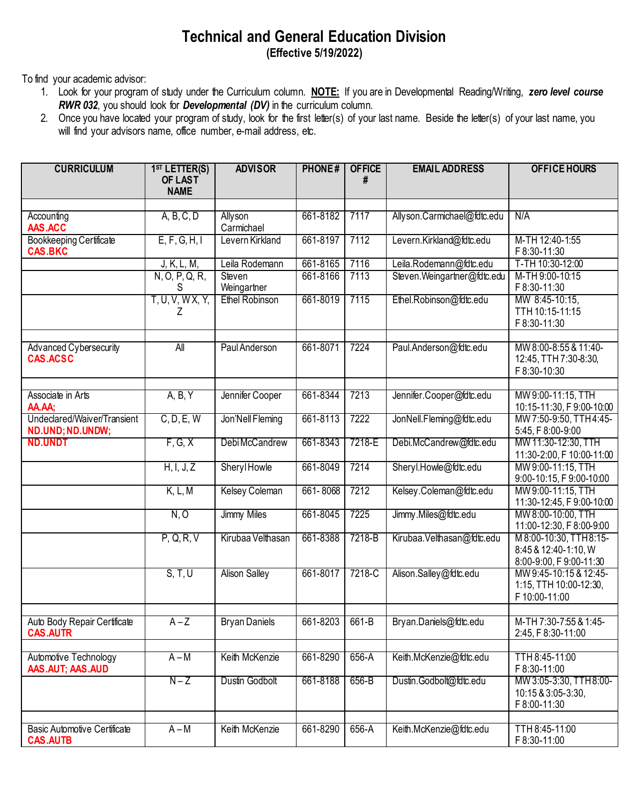## **Technical and General Education Division (Effective 5/19/2022)**

To find your academic advisor:

- 1. Look for your program of study under the Curriculum column. **NOTE:** If you are in Developmental Reading/Writing, *zero level course RWR 032*, you should look for *Developmental (DV)* in the curriculum column.
- 2. Once you have located your program of study, look for the first letter(s) of your last name. Beside the letter(s) of your last name, you will find your advisors name, office number, e-mail address, etc.

| <b>CURRICULUM</b>                                      | 1 <sup>ST</sup> LETTER(S)<br>OF LAST<br><b>NAME</b> | <b>ADVISOR</b>        | <b>PHONE#</b> | <b>OFFICE</b><br># | <b>EMAIL ADDRESS</b>        | <b>OFFICE HOURS</b>                                                        |
|--------------------------------------------------------|-----------------------------------------------------|-----------------------|---------------|--------------------|-----------------------------|----------------------------------------------------------------------------|
|                                                        |                                                     |                       |               |                    |                             |                                                                            |
| Accounting<br>AAS.ACC                                  | A, B, C, D                                          | Allyson<br>Carmichael | 661-8182      | 7117               | Allyson.Carmichael@fdtc.edu | N/A                                                                        |
| <b>Bookkeeping Certificate</b><br><b>CAS.BKC</b>       | E, F, G, H, I                                       | Levern Kirkland       | 661-8197      | 7112               | Levern.Kirkland@fdtc.edu    | M-TH 12:40-1:55<br>F 8:30-11:30                                            |
|                                                        | J, K, L, M,                                         | Leila Rodemann        | 661-8165      | 7116               | Leila.Rodemann@fdtc.edu     | T-TH 10:30-12:00                                                           |
|                                                        | N, O, P, Q, R,<br>S                                 | Steven<br>Weingartner | 661-8166      | 7113               | Steven.Weingartner@fdtc.edu | M-TH 9:00-10:15<br>F 8:30-11:30                                            |
|                                                        | T, U, V, WX, Y,<br>Ζ                                | <b>Ethel Robinson</b> | 661-8019      | 7115               | Ethel.Robinson@fdtc.edu     | MW 8:45-10:15,<br>TTH 10:15-11:15<br>F 8:30-11:30                          |
| Advanced Cybersecurity<br><b>CAS.ACSC</b>              | All                                                 | Paul Anderson         | 661-8071      | 7224               | Paul.Anderson@fdtc.edu      | MW 8:00-8:55 & 11:40-<br>12:45, TTH 7:30-8:30,<br>F 8:30-10:30             |
| Associate in Arts<br>AA.AA;                            | A, B, Y                                             | Jennifer Cooper       | 661-8344      | 7213               | Jennifer.Cooper@fdtc.edu    | MW 9:00-11:15, TTH<br>10:15-11:30, F 9:00-10:00                            |
| Undeclared/Waiver/Transient<br>ND.UND; ND.UNDW;        | C, D, E, W                                          | Jon'Nell Fleming      | 661-8113      | 7222               | JonNell.Fleming@fdtc.edu    | MW 7:50-9:50, TTH4:45-<br>5:45, F 8:00-9:00                                |
| <b>ND.UNDT</b>                                         | F, G, X                                             | Debi McCandrew        | 661-8343      | 7218-E             | Debi.McCandrew@fdtc.edu     | MW 11:30-12:30, TTH<br>11:30-2:00, F 10:00-11:00                           |
|                                                        | H, I, J, Z                                          | Sheryl Howle          | 661-8049      | 7214               | Sheryl.Howle@fdtc.edu       | MW 9:00-11:15, TTH<br>9:00-10:15, F 9:00-10:00                             |
|                                                        | K, L, M                                             | <b>Kelsey Coleman</b> | 661-8068      | 7212               | Kelsey.Coleman@fdtc.edu     | MW 9:00-11:15, TTH<br>11:30-12:45, F 9:00-10:00                            |
|                                                        | N, O                                                | <b>Jimmy Miles</b>    | 661-8045      | 7225               | Jimmy.Miles@fdtc.edu        | MW 8:00-10:00, TTH<br>11:00-12:30, F 8:00-9:00                             |
|                                                        | P, Q, R, V                                          | Kirubaa Velthasan     | 661-8388      | 7218-B             | Kirubaa. Velthasan@fdtc.edu | M 8:00-10:30, TTH 8:15-<br>8:45 & 12:40-1:10, W<br>8:00-9:00, F 9:00-11:30 |
|                                                        | S, T, U                                             | <b>Alison Salley</b>  | 661-8017      | 7218-C             | Alison.Salley@fdtc.edu      | MW 9:45-10:15 & 12:45-<br>1:15, TTH 10:00-12:30,<br>F 10:00-11:00          |
| Auto Body Repair Certificate<br><b>CAS.AUTR</b>        | $A - Z$                                             | <b>Bryan Daniels</b>  | 661-8203      | 661-B              | Bryan.Daniels@fdtc.edu      | M-TH 7:30-7:55 & 1:45-<br>2:45, F 8:30-11:00                               |
| Automotive Technology<br>AAS.AUT; AAS.AUD              | $A - M$                                             | Keith McKenzie        | 661-8290      | $656-A$            | Keith.McKenzie@fdtc.edu     | TTH 8:45-11:00<br>F 8:30-11:00                                             |
|                                                        | $N-Z$                                               | Dustin Godbolt        | 661-8188      | 656-B              | Dustin.Godbolt@fdtc.edu     | MW 3:05-3:30, TTH 8:00-<br>10:15 & 3:05-3:30,<br>F 8:00-11:30              |
|                                                        |                                                     |                       |               |                    |                             |                                                                            |
| <b>Basic Automotive Certificate</b><br><b>CAS.AUTB</b> | $A - M$                                             | Keith McKenzie        | 661-8290      | 656-A              | Keith.McKenzie@fdtc.edu     | TTH 8:45-11:00<br>F 8:30-11:00                                             |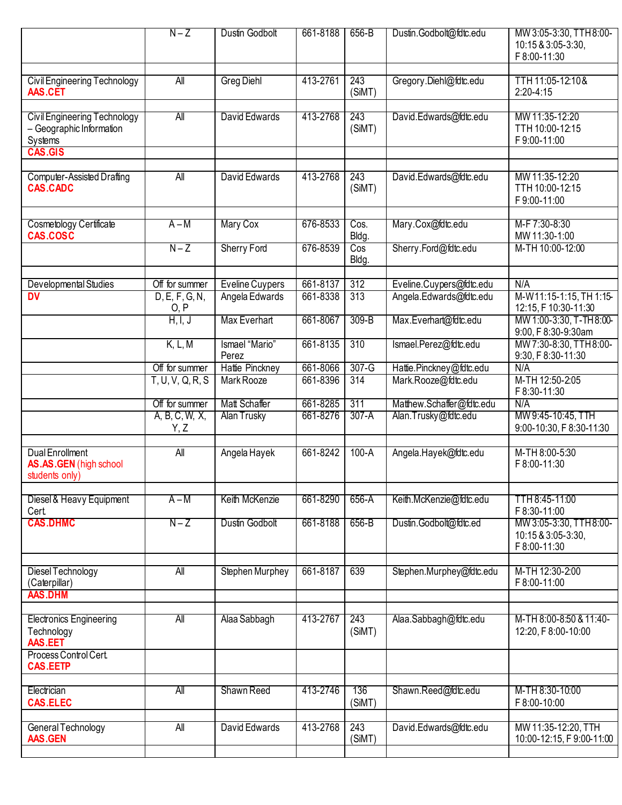|                                                                     | $N-Z$                  | Dustin Godbolt          | 661-8188 | 656-B         | Dustin.Godbolt@fdtc.edu   | MW 3:05-3:30, TTH 8:00-<br>10:15 & 3:05-3:30,<br>F 8:00-11:30 |
|---------------------------------------------------------------------|------------------------|-------------------------|----------|---------------|---------------------------|---------------------------------------------------------------|
| Civil Engineering Technology<br>AAS.CET                             | All                    | <b>Greg Diehl</b>       | 413-2761 | 243<br>(SiMT) | Gregory.Diehl@fdtc.edu    | TTH 11:05-12:10&<br>$2:20-4:15$                               |
| Civil Engineering Technology<br>- Geographic Information<br>Systems | All                    | David Edwards           | 413-2768 | 243<br>(SiMT) | David.Edwards@fdtc.edu    | MW 11:35-12:20<br>TTH 10:00-12:15<br>F9:00-11:00              |
| <b>CAS.GIS</b>                                                      |                        |                         |          |               |                           |                                                               |
| <b>Computer-Assisted Drafting</b><br><b>CAS.CADC</b>                | $\overline{All}$       | David Edwards           | 413-2768 | 243<br>(SiMT) | David.Edwards@fdtc.edu    | MW 11:35-12:20<br>TTH 10:00-12:15<br>F9:00-11:00              |
| <b>Cosmetology Certificate</b><br><b>CAS.COSC</b>                   | $A - M$                | Mary Cox                | 676-8533 | Cos.<br>Bldg. | Mary.Cox@fdtc.edu         | M-F 7:30-8:30<br>MW 11:30-1:00                                |
|                                                                     | $N-Z$                  | <b>Sherry Ford</b>      | 676-8539 | Cos<br>Bldg.  | Sherry.Ford@fdtc.edu      | M-TH 10:00-12:00                                              |
| Developmental Studies                                               | Off for summer         | <b>Eveline Cuypers</b>  | 661-8137 | 312           | Eveline.Cuypers@fdtc.edu  | N/A                                                           |
| $\overline{\mathsf{D}\mathsf{V}}$                                   | D, E, F, G, N,<br>0, P | Angela Edwards          | 661-8338 | 313           | Angela.Edwards@fdtc.edu   | M-W11:15-1:15, TH 1:15-<br>12:15, F 10:30-11:30               |
|                                                                     | H, I, J                | Max Everhart            | 661-8067 | $309-B$       | Max.Everhart@fdtc.edu     | MW 1:00-3:30, T-TH8:00-<br>9:00, F 8:30-9:30am                |
|                                                                     | K, L, M                | Ismael "Mario"<br>Perez | 661-8135 | 310           | Ismael.Perez@fdtc.edu     | MW 7:30-8:30, TTH8:00-<br>9:30, F 8:30-11:30                  |
|                                                                     | Off for summer         | Hattie Pinckney         | 661-8066 | $307-G$       | Hattie.Pinckney@fdtc.edu  | N/A                                                           |
|                                                                     | T, U, V, Q, R, S       | Mark Rooze              | 661-8396 | 314           | Mark.Rooze@fdtc.edu       | M-TH 12:50-2:05<br>F 8:30-11:30                               |
|                                                                     | Off for summer         | Matt Schaffer           | 661-8285 | 311           | Matthew.Schaffer@fdtc.edu | N/A                                                           |
|                                                                     | A, B, C, W, X,<br>Y, Z | <b>Alan Trusky</b>      | 661-8276 | $307-A$       | Alan.Trusky@fdtc.edu      | MW 9:45-10:45, TTH<br>9:00-10:30, F 8:30-11:30                |
| <b>Dual Enrollment</b><br>AS.AS.GEN (high school<br>students only)  | All                    | Angela Hayek            | 661-8242 | $100-A$       | Angela.Hayek@fdtc.edu     | M-TH 8:00-5:30<br>F 8:00-11:30                                |
| Diesel & Heavy Equipment<br>Cert.                                   | $A - M$                | Keith McKenzie          | 661-8290 | 656-A         | Keith.McKenzie@fdtc.edu   | TTH 8:45-11:00<br>F 8:30-11:00                                |
| <b>CAS.DHMC</b>                                                     | $N-Z$                  | Dustin Godbolt          | 661-8188 | 656-B         | Dustin.Godbolt@fdtc.ed    | MW 3:05-3:30, TTH 8:00-<br>10:15 & 3:05-3:30,<br>F 8:00-11:30 |
|                                                                     |                        |                         |          |               |                           |                                                               |
| Diesel Technology<br>(Caterpillar)<br><b>AAS.DHM</b>                | $\overline{All}$       | <b>Stephen Murphey</b>  | 661-8187 | 639           | Stephen.Murphey@fdtc.edu  | M-TH 12:30-2:00<br>F 8:00-11:00                               |
|                                                                     |                        |                         |          |               |                           |                                                               |
| <b>Electronics Engineering</b><br>Technology<br>AAS.EET             | All                    | Alaa Sabbagh            | 413-2767 | 243<br>(SiMT) | Alaa.Sabbagh@fdtc.edu     | M-TH 8:00-8:50 & 11:40-<br>12:20, F 8:00-10:00                |
| Process Control Cert.<br><b>CAS.EETP</b>                            |                        |                         |          |               |                           |                                                               |
|                                                                     |                        |                         |          |               |                           |                                                               |
| Electrician<br><b>CAS.ELEC</b>                                      | All                    | Shawn Reed              | 413-2746 | 136<br>(SiMT) | Shawn.Reed@fdtc.edu       | M-TH 8:30-10:00<br>F 8:00-10:00                               |
| General Technology<br>AAS.GEN                                       | All                    | David Edwards           | 413-2768 | 243<br>(SiMT) | David.Edwards@fdtc.edu    | MW 11:35-12:20, TTH<br>10:00-12:15, F9:00-11:00               |
|                                                                     |                        |                         |          |               |                           |                                                               |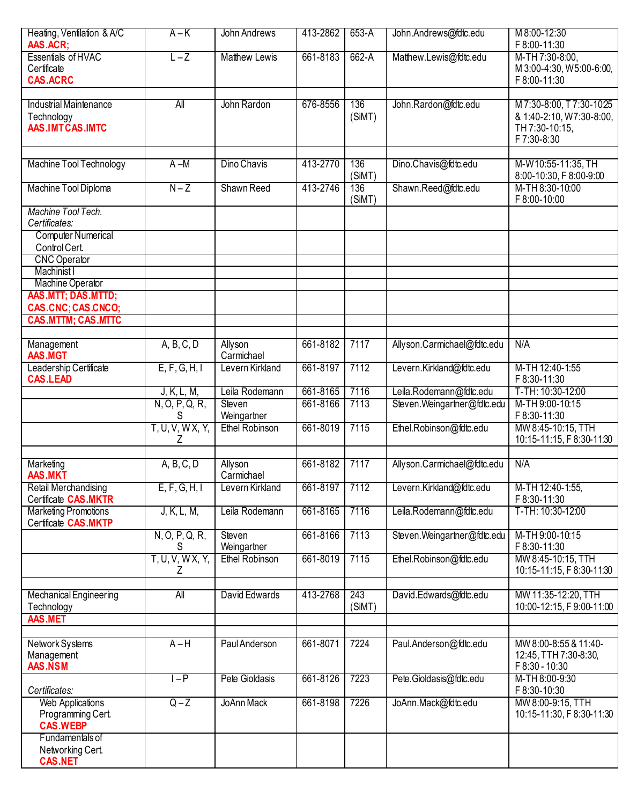| Heating, Ventilation & A/C  | $A - K$               | John Andrews          | 413-2862 | 653-A  | John.Andrews@fdtc.edu       | M 8:00-12:30              |
|-----------------------------|-----------------------|-----------------------|----------|--------|-----------------------------|---------------------------|
| AAS.ACR;                    |                       |                       |          |        |                             | F 8:00-11:30              |
| <b>Essentials of HVAC</b>   | $L - Z$               | <b>Matthew Lewis</b>  | 661-8183 | 662-A  | Matthew.Lewis@fdtc.edu      | M-TH 7:30-8:00,           |
| Certificate                 |                       |                       |          |        |                             | M 3:00-4:30, W 5:00-6:00, |
| <b>CAS.ACRC</b>             |                       |                       |          |        |                             | F 8:00-11:30              |
|                             |                       |                       |          |        |                             |                           |
| Industrial Maintenance      | All                   | John Rardon           | 676-8556 | 136    | John.Rardon@fdtc.edu        | M 7:30-8:00, T 7:30-10:25 |
| Technology                  |                       |                       |          | (SiMT) |                             | & 1:40-2:10, W7:30-8:00,  |
| AAS.IMTCAS.IMTC             |                       |                       |          |        |                             | TH 7:30-10:15,            |
|                             |                       |                       |          |        |                             | F 7:30-8:30               |
|                             |                       |                       |          |        |                             |                           |
| Machine Tool Technology     | A –M                  | Dino Chavis           | 413-2770 | 136    | Dino.Chavis@fdtc.edu        | M-W10:55-11:35, TH        |
|                             |                       |                       |          | (SiMT) |                             | 8:00-10:30, F 8:00-9:00   |
| Machine Tool Diploma        | $N-Z$                 | Shawn Reed            | 413-2746 | 136    | Shawn.Reed@fdtc.edu         | M-TH 8:30-10:00           |
|                             |                       |                       |          | (SiMT) |                             | F 8:00-10:00              |
| Machine Tool Tech.          |                       |                       |          |        |                             |                           |
| Certificates:               |                       |                       |          |        |                             |                           |
| <b>Computer Numerical</b>   |                       |                       |          |        |                             |                           |
| Control Cert.               |                       |                       |          |        |                             |                           |
| <b>CNC Operator</b>         |                       |                       |          |        |                             |                           |
| Machinist I                 |                       |                       |          |        |                             |                           |
| <b>Machine Operator</b>     |                       |                       |          |        |                             |                           |
| AAS.MTT; DAS.MTTD;          |                       |                       |          |        |                             |                           |
| CAS.CNC; CAS.CNCO;          |                       |                       |          |        |                             |                           |
| <b>CAS.MTTM; CAS.MTTC</b>   |                       |                       |          |        |                             |                           |
|                             |                       |                       |          |        |                             |                           |
| Management                  | A, B, C, D            | Allyson               | 661-8182 | 7117   | Allyson.Carmichael@fdtc.edu | N/A                       |
| <b>AAS.MGT</b>              |                       | Carmichael            |          |        |                             |                           |
| Leadership Certificate      | E, F, G, H, I         | Levern Kirkland       | 661-8197 | 7112   | Levern.Kirkland@fdtc.edu    | M-TH 12:40-1:55           |
| <b>CAS.LEAD</b>             |                       |                       |          |        |                             | F 8:30-11:30              |
|                             | J, K, L, M,           | Leila Rodemann        | 661-8165 | 7116   | Leila.Rodemann@fdtc.edu     | T-TH: 10:30-12:00         |
|                             | N, O, P, Q, R,        | Steven                | 661-8166 | 7113   | Steven.Weingartner@fdtc.edu | M-TH 9:00-10:15           |
|                             | S                     | Weingartner           |          |        |                             | F 8:30-11:30              |
|                             | T, U, V, WX, Y,       | <b>Ethel Robinson</b> | 661-8019 | 7115   | Ethel.Robinson@fdtc.edu     | MW 8:45-10:15, TTH        |
|                             | Ζ                     |                       |          |        |                             | 10:15-11:15, F 8:30-11:30 |
|                             |                       |                       |          |        |                             |                           |
| Marketing                   | A, B, C, D            | Allyson               | 661-8182 | 7117   | Allyson.Carmichael@fdtc.edu | N/A                       |
| <b>AAS.MKT</b>              |                       | Carmichael            |          |        |                             |                           |
| Retail Merchandising        | E, F, G, H, I         | Levern Kirkland       | 661-8197 | 17112  | Levern.Kirkland@fdtc.edu    | M-TH 12:40-1:55,          |
| Certificate CAS.MKTR        |                       |                       |          |        |                             | F 8:30-11:30              |
| <b>Marketing Promotions</b> | J, K, L, M,           | Leila Rodemann        | 661-8165 | 7116   | Leila.Rodemann@fdtc.edu     | T-TH: 10:30-12:00         |
| Certificate CAS.MKTP        |                       |                       |          |        |                             |                           |
|                             |                       | Steven                | 661-8166 | 7113   | Steven.Weingartner@fdtc.edu | M-TH 9:00-10:15           |
|                             | N, O, P, Q, R,        | Weingartner           |          |        |                             | F 8:30-11:30              |
|                             | S<br>T, U, V, W X, Y, | <b>Ethel Robinson</b> | 661-8019 | 7115   | Ethel.Robinson@fdtc.edu     | MW 8:45-10:15, TTH        |
|                             |                       |                       |          |        |                             | 10:15-11:15, F 8:30-11:30 |
|                             | Z                     |                       |          |        |                             |                           |
|                             |                       |                       |          |        |                             |                           |
| Mechanical Engineering      | All                   | David Edwards         | 413-2768 | 243    | David.Edwards@fdtc.edu      | MW 11:35-12:20, TTH       |
| Technology                  |                       |                       |          | (SiMT) |                             | 10:00-12:15, F9:00-11:00  |
| AAS.MET                     |                       |                       |          |        |                             |                           |
|                             |                       |                       |          |        |                             |                           |
| Network Systems             | $A-H$                 | Paul Anderson         | 661-8071 | 7224   | Paul.Anderson@fdtc.edu      | MW 8:00-8:55 & 11:40-     |
| Management                  |                       |                       |          |        |                             | 12:45, TTH 7:30-8:30,     |
| AAS.NSM                     |                       |                       |          |        |                             | F 8:30 - 10:30            |
|                             | $ -P$                 | Pete Gioldasis        | 661-8126 | 7223   | Pete.Gioldasis@fdtc.edu     | M-TH 8:00-9:30            |
| Certificates:               |                       |                       |          |        |                             | F 8:30-10:30              |
| <b>Web Applications</b>     | $Q-Z$                 | JoAnn Mack            | 661-8198 | 7226   | JoAnn.Mack@fdtc.edu         | MW 8:00-9:15, TTH         |
| Programming Cert.           |                       |                       |          |        |                             | 10:15-11:30, F 8:30-11:30 |
| <b>CAS.WEBP</b>             |                       |                       |          |        |                             |                           |
| Fundamentals of             |                       |                       |          |        |                             |                           |
| Networking Cert.            |                       |                       |          |        |                             |                           |
| <b>CAS.NET</b>              |                       |                       |          |        |                             |                           |